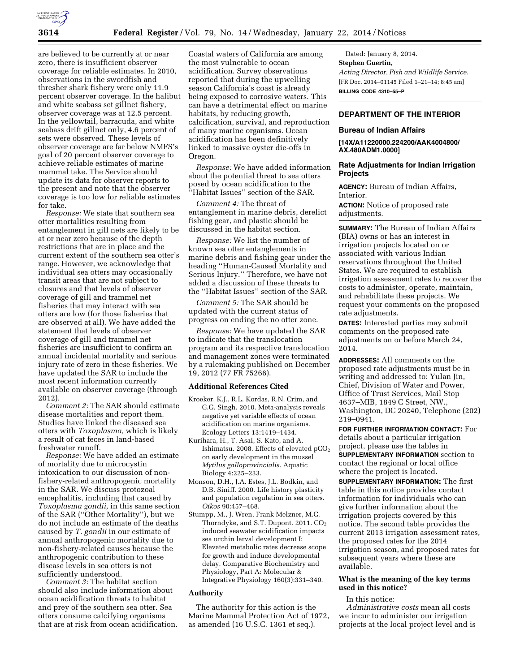

are believed to be currently at or near zero, there is insufficient observer coverage for reliable estimates. In 2010, observations in the swordfish and thresher shark fishery were only 11.9 percent observer coverage. In the halibut and white seabass set gillnet fishery, observer coverage was at 12.5 percent. In the yellowtail, barracuda, and white seabass drift gillnet only, 4.6 percent of sets were observed. These levels of observer coverage are far below NMFS's goal of 20 percent observer coverage to achieve reliable estimates of marine mammal take. The Service should update its data for observer reports to the present and note that the observer coverage is too low for reliable estimates for take.

*Response:* We state that southern sea otter mortalities resulting from entanglement in gill nets are likely to be at or near zero because of the depth restrictions that are in place and the current extent of the southern sea otter's range. However, we acknowledge that individual sea otters may occasionally transit areas that are not subject to closures and that levels of observer coverage of gill and trammel net fisheries that may interact with sea otters are low (for those fisheries that are observed at all). We have added the statement that levels of observer coverage of gill and trammel net fisheries are insufficient to confirm an annual incidental mortality and serious injury rate of zero in these fisheries. We have updated the SAR to include the most recent information currently available on observer coverage (through 2012).

*Comment 2:* The SAR should estimate disease mortalities and report them. Studies have linked the diseased sea otters with *Toxoplasma,* which is likely a result of cat feces in land-based freshwater runoff.

*Response:* We have added an estimate of mortality due to microcystin intoxication to our discussion of nonfishery-related anthropogenic mortality in the SAR. We discuss protozoal encephalitis, including that caused by *Toxoplasma gondii,* in this same section of the SAR (''Other Mortality''), but we do not include an estimate of the deaths caused by *T. gondii* in our estimate of annual anthropogenic mortality due to non-fishery-related causes because the anthropogenic contribution to these disease levels in sea otters is not sufficiently understood.

*Comment 3:* The habitat section should also include information about ocean acidification threats to habitat and prey of the southern sea otter. Sea otters consume calcifying organisms that are at risk from ocean acidification.

Coastal waters of California are among the most vulnerable to ocean acidification. Survey observations reported that during the upwelling season California's coast is already being exposed to corrosive waters. This can have a detrimental effect on marine habitats, by reducing growth, calcification, survival, and reproduction of many marine organisms. Ocean acidification has been definitively linked to massive oyster die-offs in Oregon.

*Response:* We have added information about the potential threat to sea otters posed by ocean acidification to the 'Habitat Issues'' section of the SAR.

*Comment 4:* The threat of entanglement in marine debris, derelict fishing gear, and plastic should be discussed in the habitat section.

*Response:* We list the number of known sea otter entanglements in marine debris and fishing gear under the heading ''Human-Caused Mortality and Serious Injury.'' Therefore, we have not added a discussion of these threats to the ''Habitat Issues'' section of the SAR.

*Comment 5:* The SAR should be updated with the current status of progress on ending the no otter zone.

*Response:* We have updated the SAR to indicate that the translocation program and its respective translocation and management zones were terminated by a rulemaking published on December 19, 2012 (77 FR 75266).

#### **Additional References Cited**

- Kroeker, K.J., R.L. Kordas, R.N. Crim, and G.G. Singh. 2010. Meta-analysis reveals negative yet variable effects of ocean acidification on marine organisms. Ecology Letters 13:1419–1434.
- Kurihara, H., T. Asai, S. Kato, and A. Ishimatsu. 2008. Effects of elevated pCO<sub>2</sub> on early development in the mussel *Mytilus galloprovincialis.* Aquatic Biology 4:225–233.
- Monson, D.H., J.A. Estes, J.L. Bodkin, and D.B. Siniff. 2000. Life history plasticity and population regulation in sea otters. *Oikos* 90:457–468.
- Stumpp, M., J. Wren, Frank Melzner, M.C. Thorndyke, and S.T. Dupont. 2011. CO<sub>2</sub> induced seawater acidification impacts sea urchin larval development I: Elevated metabolic rates decrease scope for growth and induce developmental delay. Comparative Biochemistry and Physiology, Part A: Molecular & Integrative Physiology 160(3):331–340.

## **Authority**

The authority for this action is the Marine Mammal Protection Act of 1972, as amended (16 U.S.C. 1361 et seq.).

Dated: January 8, 2014. **Stephen Guertin,**  *Acting Director, Fish and Wildlife Service.*  [FR Doc. 2014–01145 Filed 1–21–14; 8:45 am] **BILLING CODE 4310–55–P** 

# **DEPARTMENT OF THE INTERIOR**

## **Bureau of Indian Affairs**

**[14X/A11220000.224200/AAK4004800/ AX.480ADM1.0000]** 

## **Rate Adjustments for Indian Irrigation Projects**

**AGENCY:** Bureau of Indian Affairs, Interior.

**ACTION:** Notice of proposed rate adjustments.

**SUMMARY:** The Bureau of Indian Affairs (BIA) owns or has an interest in irrigation projects located on or associated with various Indian reservations throughout the United States. We are required to establish irrigation assessment rates to recover the costs to administer, operate, maintain, and rehabilitate these projects. We request your comments on the proposed rate adjustments.

**DATES:** Interested parties may submit comments on the proposed rate adjustments on or before March 24, 2014.

**ADDRESSES:** All comments on the proposed rate adjustments must be in writing and addressed to: Yulan Jin, Chief, Division of Water and Power, Office of Trust Services, Mail Stop 4637–MIB, 1849 C Street, NW., Washington, DC 20240, Telephone (202) 219–0941.

**FOR FURTHER INFORMATION CONTACT:** For details about a particular irrigation project, please use the tables in **SUPPLEMENTARY INFORMATION** section to contact the regional or local office where the project is located.

**SUPPLEMENTARY INFORMATION:** The first table in this notice provides contact information for individuals who can give further information about the irrigation projects covered by this notice. The second table provides the current 2013 irrigation assessment rates, the proposed rates for the 2014 irrigation season, and proposed rates for subsequent years where these are available.

# **What is the meaning of the key terms used in this notice?**

## In this notice:

*Administrative costs* mean all costs we incur to administer our irrigation projects at the local project level and is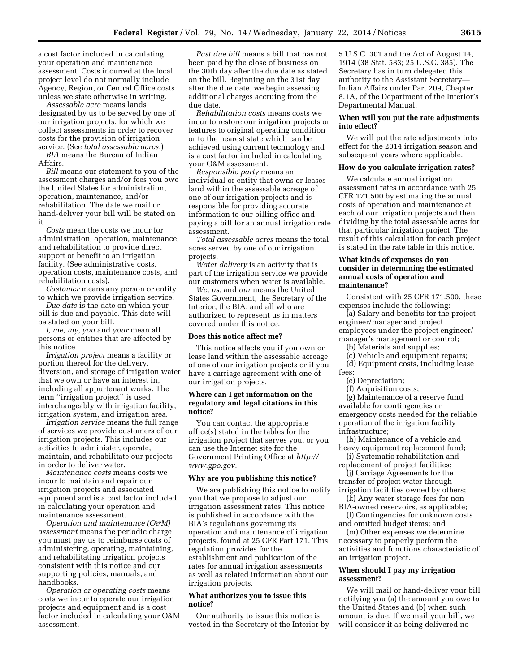a cost factor included in calculating your operation and maintenance assessment. Costs incurred at the local project level do not normally include Agency, Region, or Central Office costs unless we state otherwise in writing.

*Assessable acre* means lands designated by us to be served by one of our irrigation projects, for which we collect assessments in order to recover costs for the provision of irrigation service. (See *total assessable acres.*)

*BIA* means the Bureau of Indian Affairs.

*Bill* means our statement to you of the assessment charges and/or fees you owe the United States for administration, operation, maintenance, and/or rehabilitation. The date we mail or hand-deliver your bill will be stated on it.

*Costs* mean the costs we incur for administration, operation, maintenance, and rehabilitation to provide direct support or benefit to an irrigation facility. (See administrative costs, operation costs, maintenance costs, and rehabilitation costs).

*Customer* means any person or entity to which we provide irrigation service.

*Due date* is the date on which your bill is due and payable. This date will be stated on your bill.

*I, me, my, you* and *your* mean all persons or entities that are affected by this notice.

*Irrigation project* means a facility or portion thereof for the delivery, diversion, and storage of irrigation water that we own or have an interest in, including all appurtenant works. The term ''irrigation project'' is used interchangeably with irrigation facility, irrigation system, and irrigation area.

*Irrigation service* means the full range of services we provide customers of our irrigation projects. This includes our activities to administer, operate, maintain, and rehabilitate our projects in order to deliver water.

*Maintenance costs* means costs we incur to maintain and repair our irrigation projects and associated equipment and is a cost factor included in calculating your operation and maintenance assessment.

*Operation and maintenance (O&M) assessment* means the periodic charge you must pay us to reimburse costs of administering, operating, maintaining, and rehabilitating irrigation projects consistent with this notice and our supporting policies, manuals, and handbooks.

*Operation or operating costs* means costs we incur to operate our irrigation projects and equipment and is a cost factor included in calculating your O&M assessment.

*Past due bill* means a bill that has not been paid by the close of business on the 30th day after the due date as stated on the bill. Beginning on the 31st day after the due date, we begin assessing additional charges accruing from the due date.

*Rehabilitation costs* means costs we incur to restore our irrigation projects or features to original operating condition or to the nearest state which can be achieved using current technology and is a cost factor included in calculating your O&M assessment.

*Responsible party* means an individual or entity that owns or leases land within the assessable acreage of one of our irrigation projects and is responsible for providing accurate information to our billing office and paying a bill for an annual irrigation rate assessment.

*Total assessable acres* means the total acres served by one of our irrigation projects.

*Water delivery* is an activity that is part of the irrigation service we provide our customers when water is available.

*We, us,* and *our* means the United States Government, the Secretary of the Interior, the BIA, and all who are authorized to represent us in matters covered under this notice.

#### **Does this notice affect me?**

This notice affects you if you own or lease land within the assessable acreage of one of our irrigation projects or if you have a carriage agreement with one of our irrigation projects.

## **Where can I get information on the regulatory and legal citations in this notice?**

You can contact the appropriate office(s) stated in the tables for the irrigation project that serves you, or you can use the Internet site for the Government Printing Office at *[http://](http://www.gpo.gov) [www.gpo.gov.](http://www.gpo.gov)* 

#### **Why are you publishing this notice?**

We are publishing this notice to notify you that we propose to adjust our irrigation assessment rates. This notice is published in accordance with the BIA's regulations governing its operation and maintenance of irrigation projects, found at 25 CFR Part 171. This regulation provides for the establishment and publication of the rates for annual irrigation assessments as well as related information about our irrigation projects.

## **What authorizes you to issue this notice?**

Our authority to issue this notice is vested in the Secretary of the Interior by

5 U.S.C. 301 and the Act of August 14, 1914 (38 Stat. 583; 25 U.S.C. 385). The Secretary has in turn delegated this authority to the Assistant Secretary— Indian Affairs under Part 209, Chapter 8.1A, of the Department of the Interior's Departmental Manual.

#### **When will you put the rate adjustments into effect?**

We will put the rate adjustments into effect for the 2014 irrigation season and subsequent years where applicable.

#### **How do you calculate irrigation rates?**

We calculate annual irrigation assessment rates in accordance with 25 CFR 171.500 by estimating the annual costs of operation and maintenance at each of our irrigation projects and then dividing by the total assessable acres for that particular irrigation project. The result of this calculation for each project is stated in the rate table in this notice.

#### **What kinds of expenses do you consider in determining the estimated annual costs of operation and maintenance?**

Consistent with 25 CFR 171.500, these expenses include the following:

(a) Salary and benefits for the project engineer/manager and project employees under the project engineer/ manager's management or control;

- (b) Materials and supplies;
- (c) Vehicle and equipment repairs;
- (d) Equipment costs, including lease fees;
	- (e) Depreciation;
	- (f) Acquisition costs;

(g) Maintenance of a reserve fund available for contingencies or emergency costs needed for the reliable operation of the irrigation facility infrastructure;

- (h) Maintenance of a vehicle and heavy equipment replacement fund;
- (i) Systematic rehabilitation and replacement of project facilities;

(j) Carriage Agreements for the transfer of project water through irrigation facilities owned by others;

- (k) Any water storage fees for non BIA-owned reservoirs, as applicable;
- (l) Contingencies for unknown costs and omitted budget items; and

(m) Other expenses we determine necessary to properly perform the activities and functions characteristic of an irrigation project.

#### **When should I pay my irrigation assessment?**

We will mail or hand-deliver your bill notifying you (a) the amount you owe to the United States and (b) when such amount is due. If we mail your bill, we will consider it as being delivered no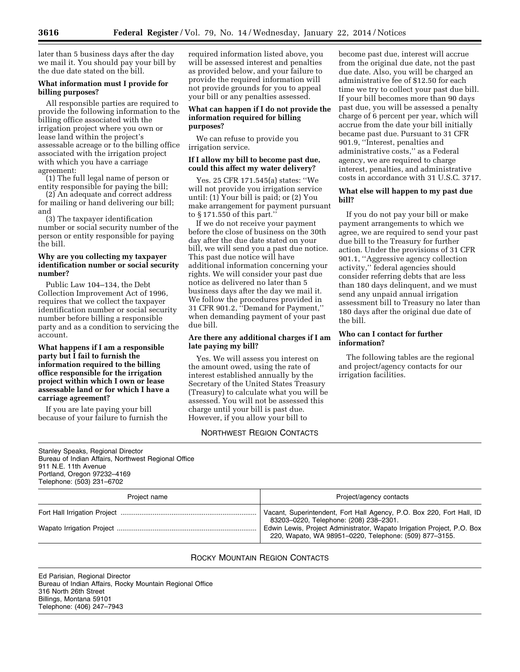later than 5 business days after the day we mail it. You should pay your bill by the due date stated on the bill.

# **What information must I provide for billing purposes?**

All responsible parties are required to provide the following information to the billing office associated with the irrigation project where you own or lease land within the project's assessable acreage or to the billing office associated with the irrigation project with which you have a carriage agreement:

(1) The full legal name of person or entity responsible for paying the bill;

(2) An adequate and correct address for mailing or hand delivering our bill; and

(3) The taxpayer identification number or social security number of the person or entity responsible for paying the bill.

# **Why are you collecting my taxpayer identification number or social security number?**

Public Law 104–134, the Debt Collection Improvement Act of 1996, requires that we collect the taxpayer identification number or social security number before billing a responsible party and as a condition to servicing the account.

# **What happens if I am a responsible party but I fail to furnish the information required to the billing office responsible for the irrigation project within which I own or lease assessable land or for which I have a carriage agreement?**

If you are late paying your bill because of your failure to furnish the required information listed above, you will be assessed interest and penalties as provided below, and your failure to provide the required information will not provide grounds for you to appeal your bill or any penalties assessed.

# **What can happen if I do not provide the information required for billing purposes?**

We can refuse to provide you irrigation service.

# **If I allow my bill to become past due, could this affect my water delivery?**

Yes. 25 CFR 171.545(a) states: ''We will not provide you irrigation service until: (1) Your bill is paid; or (2) You make arrangement for payment pursuant to § 171.550 of this part.''

If we do not receive your payment before the close of business on the 30th day after the due date stated on your bill, we will send you a past due notice. This past due notice will have additional information concerning your rights. We will consider your past due notice as delivered no later than 5 business days after the day we mail it. We follow the procedures provided in 31 CFR 901.2, ''Demand for Payment,'' when demanding payment of your past due bill.

## **Are there any additional charges if I am late paying my bill?**

Yes. We will assess you interest on the amount owed, using the rate of interest established annually by the Secretary of the United States Treasury (Treasury) to calculate what you will be assessed. You will not be assessed this charge until your bill is past due. However, if you allow your bill to

# NORTHWEST REGION CONTACTS

become past due, interest will accrue from the original due date, not the past due date. Also, you will be charged an administrative fee of \$12.50 for each time we try to collect your past due bill. If your bill becomes more than 90 days past due, you will be assessed a penalty charge of 6 percent per year, which will accrue from the date your bill initially became past due. Pursuant to 31 CFR 901.9, ''Interest, penalties and administrative costs,'' as a Federal agency, we are required to charge interest, penalties, and administrative costs in accordance with 31 U.S.C. 3717.

# **What else will happen to my past due bill?**

If you do not pay your bill or make payment arrangements to which we agree, we are required to send your past due bill to the Treasury for further action. Under the provisions of 31 CFR 901.1, ''Aggressive agency collection activity,'' federal agencies should consider referring debts that are less than 180 days delinquent, and we must send any unpaid annual irrigation assessment bill to Treasury no later than 180 days after the original due date of the bill.

# **Who can I contact for further information?**

The following tables are the regional and project/agency contacts for our irrigation facilities.

Stanley Speaks, Regional Director Bureau of Indian Affairs, Northwest Regional Office 911 N.E. 11th Avenue Portland, Oregon 97232–4169 Telephone: (503) 231–6702

| Project name | Project/agency contacts                                                                                                           |
|--------------|-----------------------------------------------------------------------------------------------------------------------------------|
|              | Vacant, Superintendent, Fort Hall Agency, P.O. Box 220, Fort Hall, ID<br>83203-0220, Telephone: (208) 238-2301.                   |
|              | Edwin Lewis, Project Administrator, Wapato Irrigation Project, P.O. Box<br>220, Wapato, WA 98951-0220, Telephone: (509) 877-3155. |

# ROCKY MOUNTAIN REGION CONTACTS

Ed Parisian, Regional Director Bureau of Indian Affairs, Rocky Mountain Regional Office 316 North 26th Street Billings, Montana 59101 Telephone: (406) 247–7943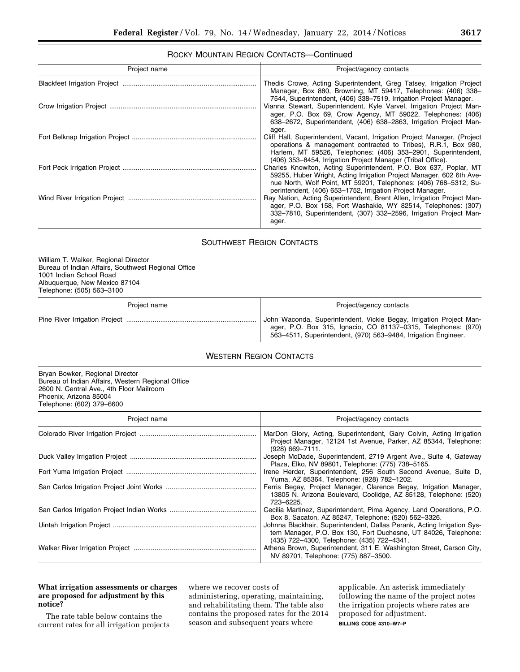# ROCKY MOUNTAIN REGION CONTACTS—Continued

| Project name | Project/agency contacts                                                                                                                                                                                                                                                                                                                   |  |  |
|--------------|-------------------------------------------------------------------------------------------------------------------------------------------------------------------------------------------------------------------------------------------------------------------------------------------------------------------------------------------|--|--|
|              | Thedis Crowe, Acting Superintendent, Greg Tatsey, Irrigation Project<br>Manager, Box 880, Browning, MT 59417, Telephones: (406) 338-                                                                                                                                                                                                      |  |  |
|              | 7544, Superintendent, (406) 338–7519, Irrigation Project Manager.<br>Vianna Stewart, Superintendent, Kyle Varvel, Irrigation Project Man-<br>ager, P.O. Box 69, Crow Agency, MT 59022, Telephones: (406)<br>638–2672, Superintendent, (406) 638–2863, Irrigation Project Man-                                                             |  |  |
|              | ager.<br>Cliff Hall, Superintendent, Vacant, Irrigation Project Manager, (Project<br>operations & management contracted to Tribes), R.R.1, Box 980,<br>Harlem, MT 59526, Telephones: (406) 353-2901, Superintendent,                                                                                                                      |  |  |
|              | (406) 353–8454, Irrigation Project Manager (Tribal Office).<br>Charles Knowlton, Acting Superintendent, P.O. Box 637, Poplar, MT<br>59255, Huber Wright, Acting Irrigation Project Manager, 602 6th Ave-<br>nue North, Wolf Point, MT 59201, Telephones: (406) 768-5312, Su-<br>perintendent, (406) 653-1752, Irrigation Project Manager. |  |  |
|              | Ray Nation, Acting Superintendent, Brent Allen, Irrigation Project Man-<br>ager, P.O. Box 158, Fort Washakie, WY 82514, Telephones: (307)<br>332-7810, Superintendent, (307) 332-2596, Irrigation Project Man-<br>ager.                                                                                                                   |  |  |

# SOUTHWEST REGION CONTACTS

William T. Walker, Regional Director Bureau of Indian Affairs, Southwest Regional Office 1001 Indian School Road Albuquerque, New Mexico 87104 Telephone: (505) 563–3100

| Project name | Project/agency contacts                                                                                                                                                                                |
|--------------|--------------------------------------------------------------------------------------------------------------------------------------------------------------------------------------------------------|
|              | John Waconda, Superintendent, Vickie Begay, Irrigation Project Man-<br>ager, P.O. Box 315, Ignacio, CO 81137-0315, Telephones: (970)<br>563-4511, Superintendent, (970) 563-9484, Irrigation Engineer. |

# WESTERN REGION CONTACTS

Bryan Bowker, Regional Director Bureau of Indian Affairs, Western Regional Office 2600 N. Central Ave., 4th Floor Mailroom Phoenix, Arizona 85004 Telephone: (602) 379–6600

| Project name | Project/agency contacts                                                                                                                                                                 |  |  |
|--------------|-----------------------------------------------------------------------------------------------------------------------------------------------------------------------------------------|--|--|
|              | MarDon Glory, Acting, Superintendent, Gary Colvin, Acting Irrigation<br>Project Manager, 12124 1st Avenue, Parker, AZ 85344, Telephone:<br>$(928)$ 669-7111.                            |  |  |
|              | Joseph McDade, Superintendent, 2719 Argent Ave., Suite 4, Gateway<br>Plaza, Elko, NV 89801, Telephone: (775) 738-5165.                                                                  |  |  |
|              | Irene Herder, Superintendent, 256 South Second Avenue, Suite D,<br>Yuma, AZ 85364, Telephone: (928) 782-1202.                                                                           |  |  |
|              | Ferris Begay, Project Manager, Clarence Begay, Irrigation Manager,<br>13805 N. Arizona Boulevard, Coolidge, AZ 85128, Telephone: (520)<br>723-6225.                                     |  |  |
|              | Cecilia Martinez, Superintendent, Pima Agency, Land Operations, P.O.<br>Box 8, Sacaton, AZ 85247, Telephone: (520) 562-3326.                                                            |  |  |
|              | Johnna Blackhair, Superintendent, Dallas Perank, Acting Irrigation Sys-<br>tem Manager, P.O. Box 130, Fort Duchesne, UT 84026, Telephone:<br>(435) 722-4300, Telephone: (435) 722-4341. |  |  |
|              | Athena Brown, Superintendent, 311 E. Washington Street, Carson City,<br>NV 89701, Telephone: (775) 887-3500.                                                                            |  |  |

# **What irrigation assessments or charges are proposed for adjustment by this notice?**

The rate table below contains the current rates for all irrigation projects where we recover costs of administering, operating, maintaining, and rehabilitating them. The table also contains the proposed rates for the 2014 season and subsequent years where

applicable. An asterisk immediately following the name of the project notes the irrigation projects where rates are proposed for adjustment. **BILLING CODE 4310–W7–P**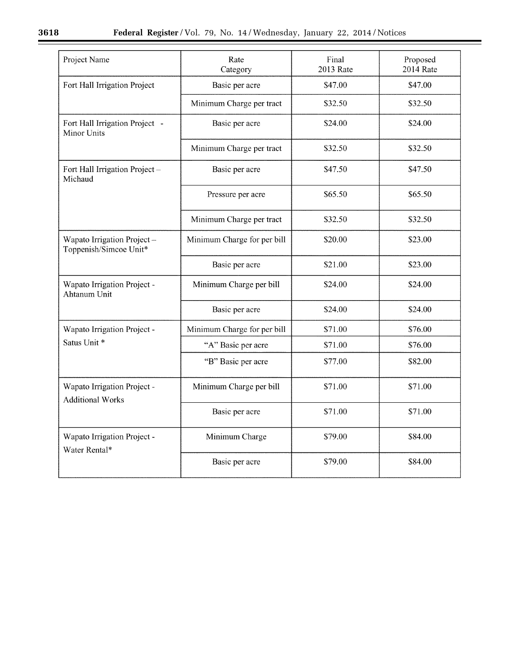$\equiv$ 

| Project Name                                           | Rate<br>Category            | Final<br><b>2013 Rate</b> | Proposed<br><b>2014 Rate</b> |
|--------------------------------------------------------|-----------------------------|---------------------------|------------------------------|
| Fort Hall Irrigation Project                           | Basic per acre              | \$47.00                   | \$47.00                      |
|                                                        | Minimum Charge per tract    | \$32.50                   | \$32.50                      |
| Fort Hall Irrigation Project -<br><b>Minor Units</b>   | Basic per acre              | \$24.00                   | \$24.00                      |
|                                                        | Minimum Charge per tract    | \$32.50                   | \$32.50                      |
| Fort Hall Irrigation Project -<br>Michaud              | Basic per acre              | \$47.50                   | \$47.50                      |
|                                                        | Pressure per acre           | \$65.50                   | \$65.50                      |
|                                                        | Minimum Charge per tract    | \$32.50                   | \$32.50                      |
| Wapato Irrigation Project-<br>Toppenish/Simcoe Unit*   | Minimum Charge for per bill | \$20.00                   | \$23.00                      |
|                                                        | Basic per acre              | \$21.00                   | \$23.00                      |
| Wapato Irrigation Project -<br>Ahtanum Unit            | Minimum Charge per bill     | \$24.00                   | \$24.00                      |
|                                                        | Basic per acre              | \$24.00                   | \$24.00                      |
| Wapato Irrigation Project -                            | Minimum Charge for per bill | \$71.00                   | \$76.00                      |
| Satus Unit *                                           | "A" Basic per acre          | \$71.00                   | \$76.00                      |
|                                                        | "B" Basic per acre          | \$77.00                   | \$82.00                      |
| Wapato Irrigation Project -<br><b>Additional Works</b> | Minimum Charge per bill     | \$71.00                   | \$71.00                      |
|                                                        | Basic per acre              | \$71.00                   | \$71.00                      |
| Wapato Irrigation Project -<br>Water Rental*           | Minimum Charge              | \$79.00                   | \$84.00                      |
|                                                        | Basic per acre              | \$79.00                   | \$84.00                      |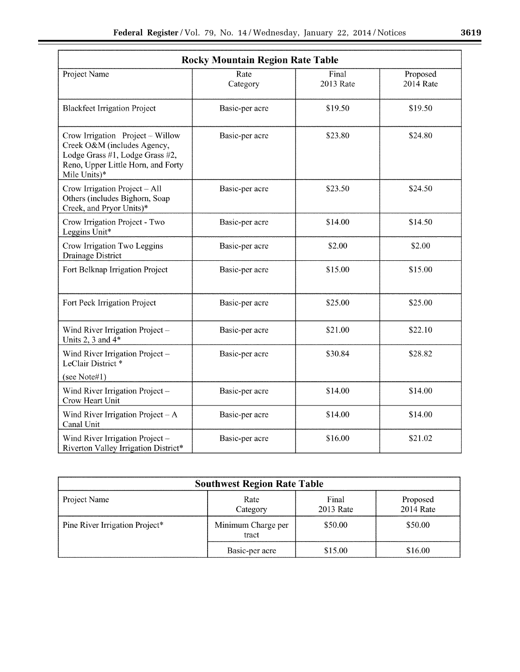| <b>Rocky Mountain Region Rate Table</b>                                                                                                                  |                  |                    |                              |  |
|----------------------------------------------------------------------------------------------------------------------------------------------------------|------------------|--------------------|------------------------------|--|
| Project Name                                                                                                                                             | Rate<br>Category | Final<br>2013 Rate | Proposed<br><b>2014 Rate</b> |  |
| <b>Blackfeet Irrigation Project</b>                                                                                                                      | Basic-per acre   | \$19.50            | \$19.50                      |  |
| Crow Irrigation Project - Willow<br>Creek O&M (includes Agency,<br>Lodge Grass #1, Lodge Grass #2,<br>Reno, Upper Little Horn, and Forty<br>Mile Units)* | Basic-per acre   | \$23.80            | \$24.80                      |  |
| Crow Irrigation Project - All<br>Others (includes Bighorn, Soap<br>Creek, and Pryor Units)*                                                              | Basic-per acre   | \$23.50            | \$24.50                      |  |
| Crow Irrigation Project - Two<br>Leggins Unit*                                                                                                           | Basic-per acre   | \$14.00            | \$14.50                      |  |
| Crow Irrigation Two Leggins<br><b>Drainage District</b>                                                                                                  | Basic-per acre   | \$2.00             | \$2.00                       |  |
| Fort Belknap Irrigation Project                                                                                                                          | Basic-per acre   | \$15.00            | \$15.00                      |  |
| Fort Peck Irrigation Project                                                                                                                             | Basic-per acre   | \$25.00            | \$25.00                      |  |
| Wind River Irrigation Project -<br>Units 2, 3 and $4*$                                                                                                   | Basic-per acre   | \$21.00            | \$22.10                      |  |
| Wind River Irrigation Project -<br>LeClair District <sup>*</sup>                                                                                         | Basic-per acre   | \$30.84            | \$28.82                      |  |
| (see Note#1)                                                                                                                                             |                  |                    |                              |  |
| Wind River Irrigation Project-<br>Crow Heart Unit                                                                                                        | Basic-per acre   | \$14.00            | \$14.00                      |  |
| Wind River Irrigation Project $-A$<br>Canal Unit                                                                                                         | Basic-per acre   | \$14.00            | \$14.00                      |  |
| Wind River Irrigation Project-<br>Riverton Valley Irrigation District*                                                                                   | Basic-per acre   | \$16.00            | \$21.02                      |  |

| <b>Southwest Region Rate Table</b> |                             |                    |                       |  |
|------------------------------------|-----------------------------|--------------------|-----------------------|--|
| Project Name                       | Rate<br>Category            | Final<br>2013 Rate | Proposed<br>2014 Rate |  |
| Pine River Irrigation Project*     | Minimum Charge per<br>tract | \$50.00            | \$50.00               |  |
|                                    | Basic-per acre              | \$15.00            | \$16.00               |  |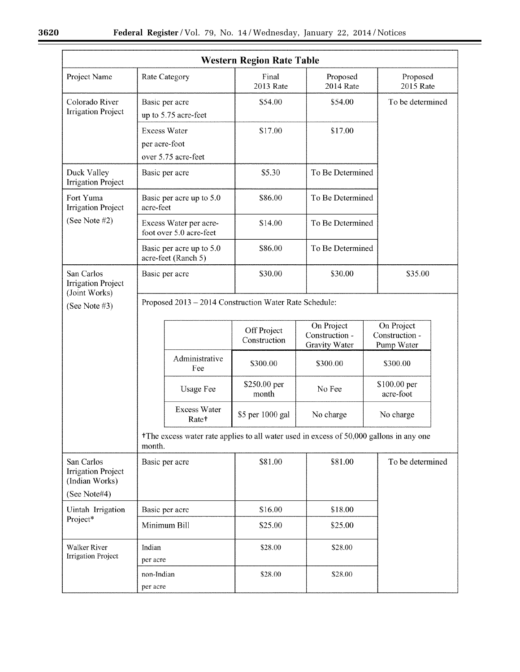$\equiv$ 

| <b>Western Region Rate Table</b>                          |                                                                                                               |                                                        |                             |                                               |                                            |  |
|-----------------------------------------------------------|---------------------------------------------------------------------------------------------------------------|--------------------------------------------------------|-----------------------------|-----------------------------------------------|--------------------------------------------|--|
| Project Name                                              |                                                                                                               | Rate Category                                          | Final<br>2013 Rate          | Proposed<br><b>2014 Rate</b>                  | Proposed<br><b>2015 Rate</b>               |  |
| Colorado River<br><b>Irrigation Project</b>               | Basic per acre<br>up to 5.75 acre-feet                                                                        |                                                        | \$54.00                     | \$54.00                                       | To be determined                           |  |
|                                                           | per acre-foot                                                                                                 | <b>Excess Water</b><br>over 5.75 acre-feet             | \$17.00                     | \$17.00                                       |                                            |  |
| Duck Valley<br><b>Irrigation Project</b>                  | Basic per acre                                                                                                |                                                        | \$5.30                      | To Be Determined                              |                                            |  |
| Fort Yuma<br><b>Irrigation Project</b>                    | acre-feet                                                                                                     | Basic per acre up to 5.0                               | \$86.00                     | To Be Determined                              |                                            |  |
| (See Note #2)                                             | Excess Water per acre-<br>foot over 5.0 acre-feet                                                             |                                                        | \$14.00                     | To Be Determined                              |                                            |  |
|                                                           |                                                                                                               | Basic per acre up to 5.0<br>acre-feet (Ranch 5)        | \$86.00                     | To Be Determined                              |                                            |  |
| San Carlos<br><b>Irrigation Project</b>                   | Basic per acre                                                                                                |                                                        | \$30.00                     | \$30.00                                       | \$35.00                                    |  |
| (Joint Works)<br>(See Note #3)                            |                                                                                                               | Proposed 2013 - 2014 Construction Water Rate Schedule: |                             |                                               |                                            |  |
|                                                           |                                                                                                               |                                                        | Off Project<br>Construction | On Project<br>Construction -<br>Gravity Water | On Project<br>Construction -<br>Pump Water |  |
|                                                           |                                                                                                               | Administrative<br>Fee                                  | \$300.00                    | \$300.00                                      | \$300.00                                   |  |
|                                                           |                                                                                                               | <b>Usage Fee</b>                                       | \$250.00 per<br>month       | No Fee                                        | \$100.00 per<br>acre-foot                  |  |
|                                                           |                                                                                                               | <b>Excess Water</b><br>Rate <sup>+</sup>               | \$5 per 1000 gal            | No charge                                     | No charge                                  |  |
|                                                           | <sup>†</sup> The excess water rate applies to all water used in excess of 50,000 gallons in any one<br>month. |                                                        |                             |                                               |                                            |  |
| San Carlos<br><b>Irrigation Project</b><br>(Indian Works) | Basic per acre                                                                                                |                                                        | \$81.00                     | \$81.00                                       | To be determined                           |  |
| (See Note#4)                                              |                                                                                                               |                                                        |                             |                                               |                                            |  |
| Uintah Irrigation<br>Project*                             | Basic per acre                                                                                                |                                                        | \$16.00                     | \$18.00                                       |                                            |  |
|                                                           | Minimum Bill                                                                                                  |                                                        | \$25.00                     | \$25.00                                       |                                            |  |
| Walker River<br><b>Irrigation Project</b>                 | Indian                                                                                                        |                                                        | \$28.00                     | \$28.00                                       |                                            |  |
|                                                           | per acre<br>non-Indian<br>per acre                                                                            |                                                        | \$28.00                     | \$28.00                                       |                                            |  |